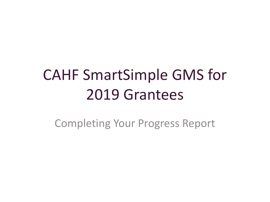# CAHF SmartSimple GMS for 2019 Grantees

Completing Your Progress Report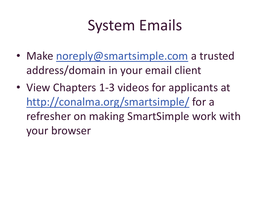#### System Emails

- Make [noreply@smartsimple.com](mailto:noreply@smartsimple.com) a trusted address/domain in your email client
- View Chapters 1-3 videos for applicants at <http://conalma.org/smartsimple/> for a refresher on making SmartSimple work with your browser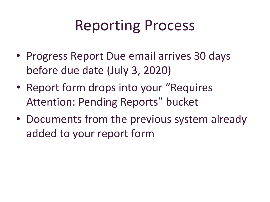#### Reporting Process

- Progress Report Due email arrives 30 days before due date (July 3, 2020)
- Report form drops into your "Requires Attention: Pending Reports" bucket
- Documents from the previous system already added to your report form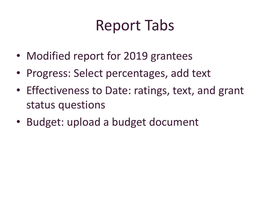## Report Tabs

- Modified report for 2019 grantees
- Progress: Select percentages, add text
- Effectiveness to Date: ratings, text, and grant status questions
- Budget: upload a budget document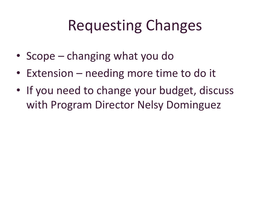## Requesting Changes

- Scope changing what you do
- Extension needing more time to do it
- If you need to change your budget, discuss with Program Director Nelsy Dominguez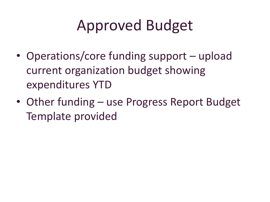## Approved Budget

- Operations/core funding support upload current organization budget showing expenditures YTD
- Other funding use Progress Report Budget Template provided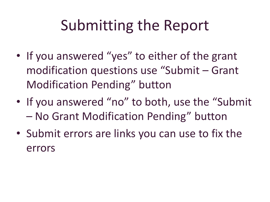## Submitting the Report

- If you answered "yes" to either of the grant modification questions use "Submit – Grant Modification Pending" button
- If you answered "no" to both, use the "Submit" – No Grant Modification Pending" button
- Submit errors are links you can use to fix the errors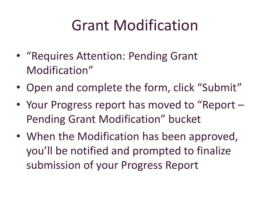#### Grant Modification

- "Requires Attention: Pending Grant Modification"
- Open and complete the form, click "Submit"
- Your Progress report has moved to "Report Pending Grant Modification" bucket
- When the Modification has been approved, you'll be notified and prompted to finalize submission of your Progress Report